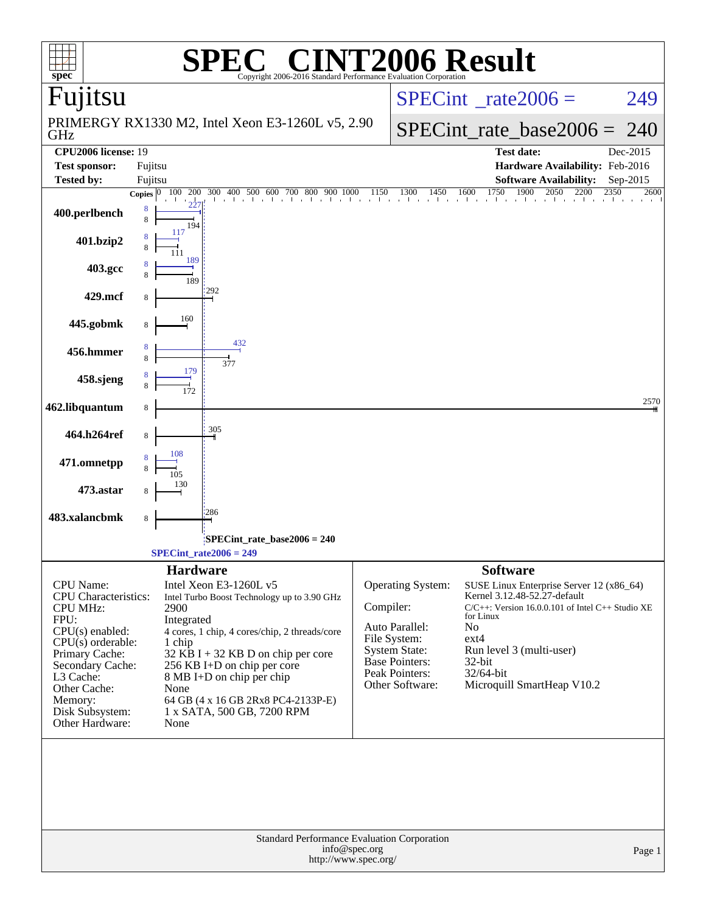| $spec^*$                                       |                                                  |                                                     | $\bigwedge^{\bullet}$                                                                     |                            | <b>INT2006 Result</b>                    |                 |                                                                                       |          |
|------------------------------------------------|--------------------------------------------------|-----------------------------------------------------|-------------------------------------------------------------------------------------------|----------------------------|------------------------------------------|-----------------|---------------------------------------------------------------------------------------|----------|
| Fujitsu                                        |                                                  |                                                     | Copyright 2006-2016 Standard Performance Evaluation Corporation                           |                            | $SPECint^{\circ}$ rate $2006 =$          |                 |                                                                                       | 249      |
| GHz                                            | PRIMERGY RX1330 M2, Intel Xeon E3-1260L v5, 2.90 |                                                     |                                                                                           | $SPECint_rate\_base2006 =$ | 240                                      |                 |                                                                                       |          |
| <b>CPU2006</b> license: 19                     |                                                  |                                                     |                                                                                           |                            |                                          |                 | <b>Test date:</b>                                                                     | Dec-2015 |
| <b>Test sponsor:</b>                           | Fujitsu                                          |                                                     |                                                                                           |                            |                                          |                 | Hardware Availability: Feb-2016                                                       |          |
| <b>Tested by:</b>                              | Fujitsu                                          |                                                     |                                                                                           |                            |                                          |                 | <b>Software Availability:</b>                                                         | Sep-2015 |
|                                                |                                                  | Copies $ 0 100 200$                                 | $\frac{300}{1}$ 400 500 600 700 800 900 1000 1150 1300 1450 1600 1750 1900 2050 2200 2350 |                            |                                          |                 |                                                                                       | 2600     |
| 400.perlbench                                  | 8<br>$\,8\,$                                     | 194                                                 |                                                                                           |                            |                                          |                 |                                                                                       |          |
| 401.bzip2                                      |                                                  | 117                                                 |                                                                                           |                            |                                          |                 |                                                                                       |          |
| 403.gcc                                        |                                                  | 189<br>189                                          |                                                                                           |                            |                                          |                 |                                                                                       |          |
| 429.mcf                                        | 8                                                | 292                                                 |                                                                                           |                            |                                          |                 |                                                                                       |          |
| 445.gobmk                                      |                                                  | 160<br>432                                          |                                                                                           |                            |                                          |                 |                                                                                       |          |
| 456.hmmer                                      |                                                  | 377<br>179                                          |                                                                                           |                            |                                          |                 |                                                                                       |          |
| 458.sjeng                                      |                                                  |                                                     |                                                                                           |                            |                                          |                 |                                                                                       |          |
| 462.libquantum                                 | 8                                                | 305                                                 |                                                                                           |                            |                                          |                 |                                                                                       | 2570     |
| 464.h264ref                                    | 8                                                | 108                                                 |                                                                                           |                            |                                          |                 |                                                                                       |          |
| 471.omnetpp                                    |                                                  |                                                     |                                                                                           |                            |                                          |                 |                                                                                       |          |
| 473.astar<br>483.xalancbmk                     | 8                                                | 286                                                 |                                                                                           |                            |                                          |                 |                                                                                       |          |
|                                                |                                                  |                                                     |                                                                                           |                            |                                          |                 |                                                                                       |          |
|                                                |                                                  | $SPECint_rate2006 = 249$                            | SPECint_rate_base2006 = 240                                                               |                            |                                          |                 |                                                                                       |          |
|                                                |                                                  | <b>Hardware</b>                                     |                                                                                           |                            |                                          | <b>Software</b> |                                                                                       |          |
| CPU Name:                                      |                                                  | Intel Xeon E3-1260L v5                              |                                                                                           |                            | Operating System:                        |                 | SUSE Linux Enterprise Server 12 (x86_64)                                              |          |
| <b>CPU</b> Characteristics:<br><b>CPU MHz:</b> |                                                  | Intel Turbo Boost Technology up to 3.90 GHz<br>2900 |                                                                                           | Compiler:                  |                                          |                 | Kernel 3.12.48-52.27-default<br>$C/C++$ : Version 16.0.0.101 of Intel $C++$ Studio XE |          |
| FPU:                                           |                                                  | Integrated                                          |                                                                                           |                            |                                          | for Linux       |                                                                                       |          |
| CPU(s) enabled:                                |                                                  | 4 cores, 1 chip, 4 cores/chip, 2 threads/core       |                                                                                           |                            | Auto Parallel:<br>File System:           | No<br>$ext{4}$  |                                                                                       |          |
| $CPU(s)$ orderable:<br>Primary Cache:          |                                                  | 1 chip<br>$32$ KB I + 32 KB D on chip per core      |                                                                                           |                            | <b>System State:</b>                     |                 | Run level 3 (multi-user)                                                              |          |
| Secondary Cache:                               |                                                  | 256 KB I+D on chip per core                         |                                                                                           |                            | <b>Base Pointers:</b>                    | $32$ -bit       |                                                                                       |          |
| L3 Cache:                                      |                                                  | 8 MB I+D on chip per chip                           |                                                                                           |                            | <b>Peak Pointers:</b><br>Other Software: | 32/64-bit       | Microquill SmartHeap V10.2                                                            |          |
| Other Cache:<br>Memory:                        |                                                  | None<br>64 GB (4 x 16 GB 2Rx8 PC4-2133P-E)          |                                                                                           |                            |                                          |                 |                                                                                       |          |
| Disk Subsystem:<br>Other Hardware:             |                                                  | 1 x SATA, 500 GB, 7200 RPM<br>None                  |                                                                                           |                            |                                          |                 |                                                                                       |          |
|                                                |                                                  |                                                     | <b>Standard Performance Evaluation Corporation</b>                                        |                            |                                          |                 |                                                                                       |          |
|                                                |                                                  |                                                     | http://www.spec.org/                                                                      | info@spec.org              |                                          |                 |                                                                                       | Page 1   |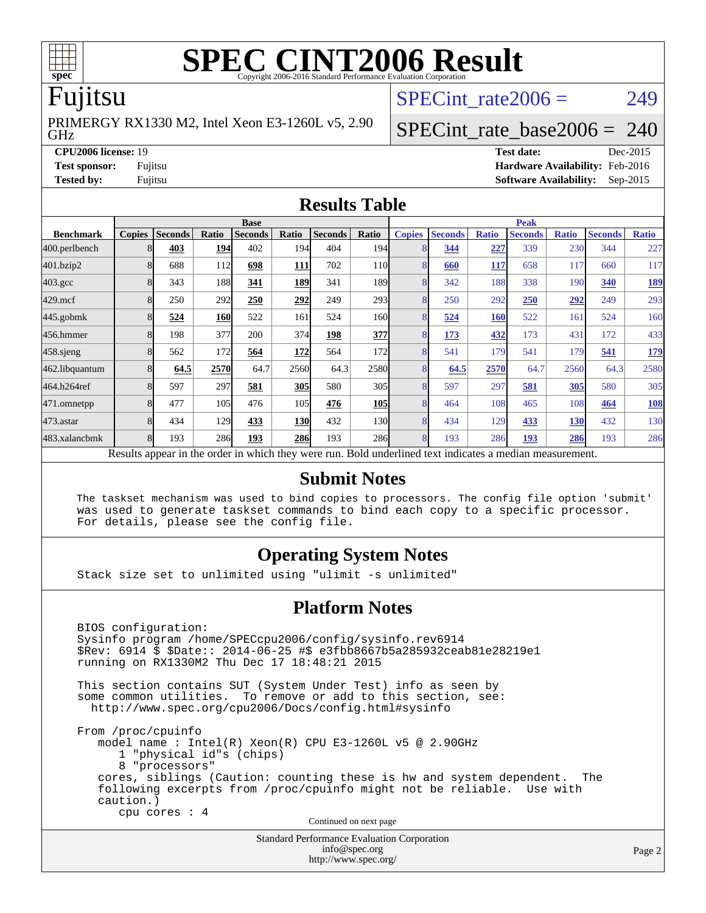

# **[SPEC CINT2006 Result](http://www.spec.org/auto/cpu2006/Docs/result-fields.html#SPECCINT2006Result)**

### Fujitsu

GHz PRIMERGY RX1330 M2, Intel Xeon E3-1260L v5, 2.90 SPECint rate $2006 = 249$ 

### [SPECint\\_rate\\_base2006 =](http://www.spec.org/auto/cpu2006/Docs/result-fields.html#SPECintratebase2006) 240

**[CPU2006 license:](http://www.spec.org/auto/cpu2006/Docs/result-fields.html#CPU2006license)** 19 **[Test date:](http://www.spec.org/auto/cpu2006/Docs/result-fields.html#Testdate)** Dec-2015 **[Test sponsor:](http://www.spec.org/auto/cpu2006/Docs/result-fields.html#Testsponsor)** Fujitsu **[Hardware Availability:](http://www.spec.org/auto/cpu2006/Docs/result-fields.html#HardwareAvailability)** Feb-2016 **[Tested by:](http://www.spec.org/auto/cpu2006/Docs/result-fields.html#Testedby)** Fujitsu **[Software Availability:](http://www.spec.org/auto/cpu2006/Docs/result-fields.html#SoftwareAvailability)** Sep-2015

### **[Results Table](http://www.spec.org/auto/cpu2006/Docs/result-fields.html#ResultsTable)**

|                                                                                                          | <b>Base</b>   |                |       |                |            |                |                  | <b>Peak</b>   |                |              |                |              |                |              |
|----------------------------------------------------------------------------------------------------------|---------------|----------------|-------|----------------|------------|----------------|------------------|---------------|----------------|--------------|----------------|--------------|----------------|--------------|
| <b>Benchmark</b>                                                                                         | <b>Copies</b> | <b>Seconds</b> | Ratio | <b>Seconds</b> | Ratio      | <b>Seconds</b> | Ratio            | <b>Copies</b> | <b>Seconds</b> | <b>Ratio</b> | <b>Seconds</b> | <b>Ratio</b> | <b>Seconds</b> | <b>Ratio</b> |
| 400.perlbench                                                                                            | 8             | 403            | 194   | 402            | 194        | 404            | 194I             | 8             | 344            | 227          | 339            | 230          | 344            | 227          |
| 401.bzip2                                                                                                | 8             | 688            | 112   | 698            | <b>111</b> | 702            | 11 <sub>0</sub>  | 8             | 660            | 117          | 658            | 117          | 660            | 117          |
| $403.\mathrm{gcc}$                                                                                       | 8             | 343            | 188   | 341            | 189        | 341            | 189I             | 8             | 342            | 188          | 338            | 190          | 340            | <u>189</u>   |
| $429$ .mcf                                                                                               | 8             | 250            | 292   | 250            | 292        | 249            | 293 <sup>1</sup> | 8             | 250            | 292          | 250            | 292          | 249            | 293          |
| $445$ .gobm $k$                                                                                          | 8             | 524            | 160   | 522            | 161        | 524            | 160l             | 8             | 524            | 160          | 522            | 161          | 524            | 160          |
| 456.hmmer                                                                                                | 8             | 198            | 377   | 200            | 374        | 198            | 377              | 8             | 173            | 432          | 173            | 431          | 172            | 433          |
| 458 sjeng                                                                                                | 8             | 562            | 172   | 564            | 172        | 564            | 172              | 8             | 541            | 179          | 541            | 179          | 541            | <u>179</u>   |
| 462.libquantum                                                                                           | 8             | 64.5           | 2570  | 64.7           | 2560       | 64.3           | 2580             | 8             | 64.5           | 2570         | 64.7           | 2560         | 64.3           | 2580         |
| 464.h264ref                                                                                              | 8             | 597            | 297   | 581            | 305        | 580            | 305 <sup>I</sup> | 8             | 597            | 297          | 581            | 305          | 580            | 305          |
| 471.omnetpp                                                                                              | 8             | 477            | 105   | 476            | 105        | 476            | <b>105</b>       | 8             | 464            | 108          | 465            | 108          | 464            | <b>108</b>   |
| $473$ . astar                                                                                            | 8             | 434            | 129   | 433            | <b>130</b> | 432            | 130              | 8             | 434            | 129          | 433            | 130          | 432            | 130          |
| 483.xalancbmk                                                                                            | 8             | 193            | 286   | 193            | <b>286</b> | 193            | <b>286</b>       | 8             | 193            | 286          | 193            | 286          | 193            | 286          |
| Results appear in the order in which they were run. Bold underlined text indicates a median measurement. |               |                |       |                |            |                |                  |               |                |              |                |              |                |              |

### **[Submit Notes](http://www.spec.org/auto/cpu2006/Docs/result-fields.html#SubmitNotes)**

 The taskset mechanism was used to bind copies to processors. The config file option 'submit' was used to generate taskset commands to bind each copy to a specific processor. For details, please see the config file.

### **[Operating System Notes](http://www.spec.org/auto/cpu2006/Docs/result-fields.html#OperatingSystemNotes)**

Stack size set to unlimited using "ulimit -s unlimited"

### **[Platform Notes](http://www.spec.org/auto/cpu2006/Docs/result-fields.html#PlatformNotes)**

Standard Performance Evaluation Corporation BIOS configuration: Sysinfo program /home/SPECcpu2006/config/sysinfo.rev6914 \$Rev: 6914 \$ \$Date:: 2014-06-25 #\$ e3fbb8667b5a285932ceab81e28219e1 running on RX1330M2 Thu Dec 17 18:48:21 2015 This section contains SUT (System Under Test) info as seen by some common utilities. To remove or add to this section, see: <http://www.spec.org/cpu2006/Docs/config.html#sysinfo> From /proc/cpuinfo model name : Intel(R) Xeon(R) CPU E3-1260L v5 @ 2.90GHz 1 "physical id"s (chips) 8 "processors" cores, siblings (Caution: counting these is hw and system dependent. The following excerpts from /proc/cpuinfo might not be reliable. Use with caution.) cpu cores : 4 Continued on next page

[info@spec.org](mailto:info@spec.org) <http://www.spec.org/>

### Page 2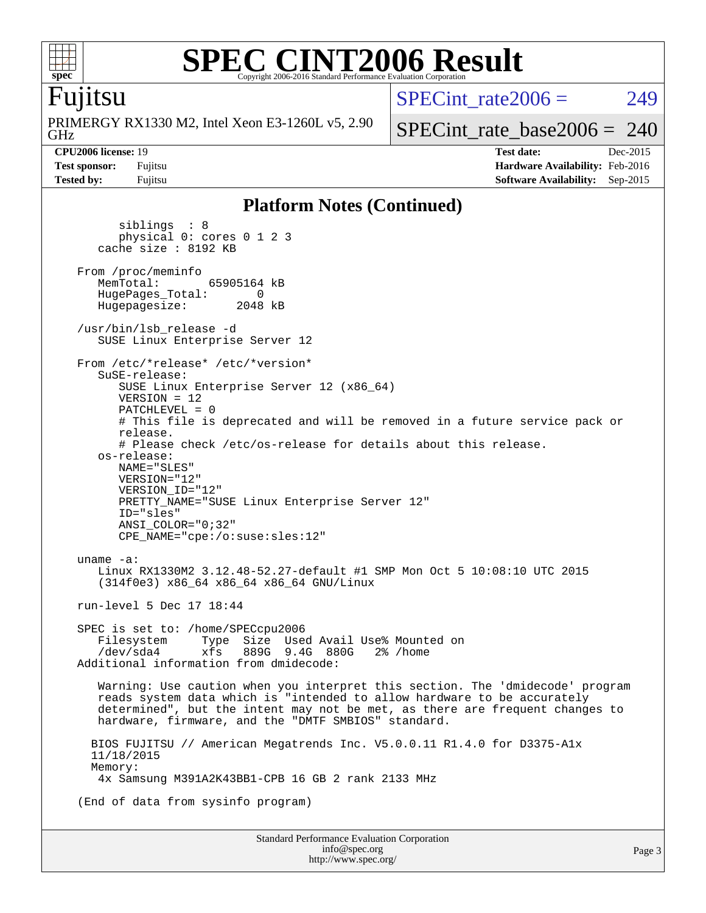

### **[SPEC CINT2006 Result](http://www.spec.org/auto/cpu2006/Docs/result-fields.html#SPECCINT2006Result)** Copyright 2006-2016 Standard Performance Evaluation Corporation

### Fujitsu

GHz PRIMERGY RX1330 M2, Intel Xeon E3-1260L v5, 2.90  $SPECint rate2006 = 249$ 

[SPECint\\_rate\\_base2006 =](http://www.spec.org/auto/cpu2006/Docs/result-fields.html#SPECintratebase2006) 240

**[CPU2006 license:](http://www.spec.org/auto/cpu2006/Docs/result-fields.html#CPU2006license)** 19 **[Test date:](http://www.spec.org/auto/cpu2006/Docs/result-fields.html#Testdate)** Dec-2015 **[Test sponsor:](http://www.spec.org/auto/cpu2006/Docs/result-fields.html#Testsponsor)** Fujitsu **[Hardware Availability:](http://www.spec.org/auto/cpu2006/Docs/result-fields.html#HardwareAvailability)** Feb-2016 **[Tested by:](http://www.spec.org/auto/cpu2006/Docs/result-fields.html#Testedby)** Fujitsu **[Software Availability:](http://www.spec.org/auto/cpu2006/Docs/result-fields.html#SoftwareAvailability)** Sep-2015

### **[Platform Notes \(Continued\)](http://www.spec.org/auto/cpu2006/Docs/result-fields.html#PlatformNotes)**

 siblings : 8 physical 0: cores 0 1 2 3 cache size : 8192 KB From /proc/meminfo<br>MemTotal: 65905164 kB HugePages\_Total: 0<br>Hugepagesize: 2048 kB Hugepagesize: /usr/bin/lsb\_release -d SUSE Linux Enterprise Server 12 From /etc/\*release\* /etc/\*version\* SuSE-release: SUSE Linux Enterprise Server 12 (x86\_64) VERSION = 12 PATCHLEVEL = 0 # This file is deprecated and will be removed in a future service pack or release. # Please check /etc/os-release for details about this release. os-release: NAME="SLES" VERSION="12" VERSION\_ID="12" PRETTY NAME="SUSE Linux Enterprise Server 12" ID="sles" ANSI\_COLOR="0;32" CPE\_NAME="cpe:/o:suse:sles:12" uname -a: Linux RX1330M2 3.12.48-52.27-default #1 SMP Mon Oct 5 10:08:10 UTC 2015 (314f0e3) x86\_64 x86\_64 x86\_64 GNU/Linux run-level 5 Dec 17 18:44 SPEC is set to: /home/SPECcpu2006 Filesystem Type Size Used Avail Use% Mounted on /dev/sda4 xfs 889G 9.4G 880G 2% /home Additional information from dmidecode: Warning: Use caution when you interpret this section. The 'dmidecode' program reads system data which is "intended to allow hardware to be accurately determined", but the intent may not be met, as there are frequent changes to hardware, firmware, and the "DMTF SMBIOS" standard. BIOS FUJITSU // American Megatrends Inc. V5.0.0.11 R1.4.0 for D3375-A1x 11/18/2015 Memory: 4x Samsung M391A2K43BB1-CPB 16 GB 2 rank 2133 MHz (End of data from sysinfo program)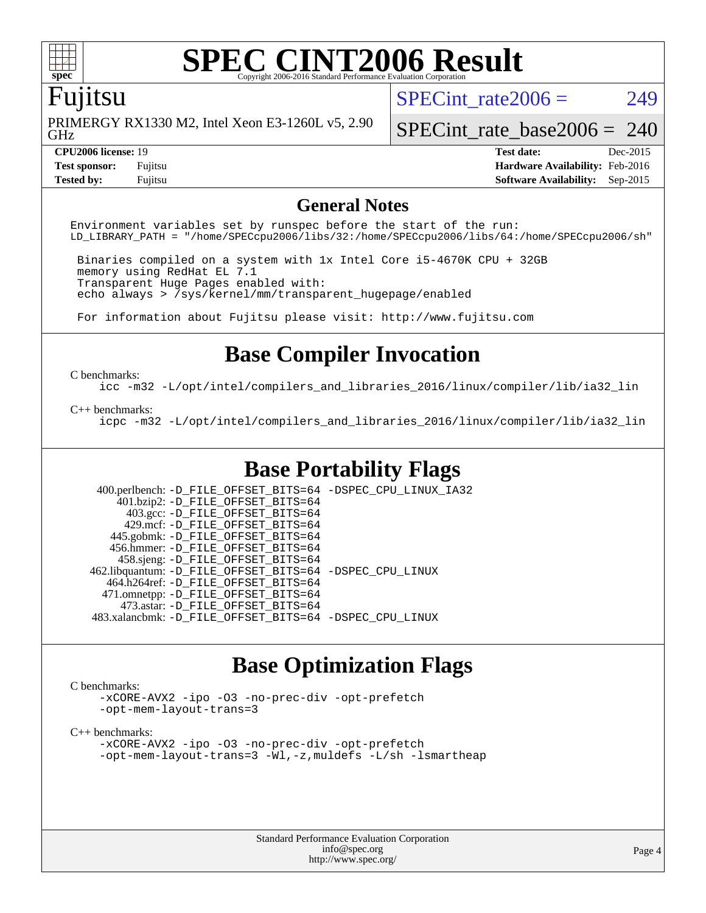

### **[SPEC CINT2006 Result](http://www.spec.org/auto/cpu2006/Docs/result-fields.html#SPECCINT2006Result)** Copyright 2006-2016 Standard Performance Evalu

### Fujitsu

GHz PRIMERGY RX1330 M2, Intel Xeon E3-1260L v5, 2.90 SPECint rate $2006 = 249$ 

**[Tested by:](http://www.spec.org/auto/cpu2006/Docs/result-fields.html#Testedby)** Fujitsu **[Software Availability:](http://www.spec.org/auto/cpu2006/Docs/result-fields.html#SoftwareAvailability)** Sep-2015

[SPECint\\_rate\\_base2006 =](http://www.spec.org/auto/cpu2006/Docs/result-fields.html#SPECintratebase2006) 240

**[CPU2006 license:](http://www.spec.org/auto/cpu2006/Docs/result-fields.html#CPU2006license)** 19 **[Test date:](http://www.spec.org/auto/cpu2006/Docs/result-fields.html#Testdate)** Dec-2015 **[Test sponsor:](http://www.spec.org/auto/cpu2006/Docs/result-fields.html#Testsponsor)** Fujitsu **[Hardware Availability:](http://www.spec.org/auto/cpu2006/Docs/result-fields.html#HardwareAvailability)** Feb-2016

### **[General Notes](http://www.spec.org/auto/cpu2006/Docs/result-fields.html#GeneralNotes)**

Environment variables set by runspec before the start of the run: LD\_LIBRARY\_PATH = "/home/SPECcpu2006/libs/32:/home/SPECcpu2006/libs/64:/home/SPECcpu2006/sh"

 Binaries compiled on a system with 1x Intel Core i5-4670K CPU + 32GB memory using RedHat EL 7.1 Transparent Huge Pages enabled with: echo always > /sys/kernel/mm/transparent\_hugepage/enabled

For information about Fujitsu please visit: <http://www.fujitsu.com>

### **[Base Compiler Invocation](http://www.spec.org/auto/cpu2006/Docs/result-fields.html#BaseCompilerInvocation)**

[C benchmarks](http://www.spec.org/auto/cpu2006/Docs/result-fields.html#Cbenchmarks):

[icc -m32 -L/opt/intel/compilers\\_and\\_libraries\\_2016/linux/compiler/lib/ia32\\_lin](http://www.spec.org/cpu2006/results/res2016q1/cpu2006-20160111-38675.flags.html#user_CCbase_intel_icc_e10256ba5924b668798078a321b0cb3f)

### [C++ benchmarks:](http://www.spec.org/auto/cpu2006/Docs/result-fields.html#CXXbenchmarks)

[icpc -m32 -L/opt/intel/compilers\\_and\\_libraries\\_2016/linux/compiler/lib/ia32\\_lin](http://www.spec.org/cpu2006/results/res2016q1/cpu2006-20160111-38675.flags.html#user_CXXbase_intel_icpc_b4f50a394bdb4597aa5879c16bc3f5c5)

### **[Base Portability Flags](http://www.spec.org/auto/cpu2006/Docs/result-fields.html#BasePortabilityFlags)**

 400.perlbench: [-D\\_FILE\\_OFFSET\\_BITS=64](http://www.spec.org/cpu2006/results/res2016q1/cpu2006-20160111-38675.flags.html#user_basePORTABILITY400_perlbench_file_offset_bits_64_438cf9856305ebd76870a2c6dc2689ab) [-DSPEC\\_CPU\\_LINUX\\_IA32](http://www.spec.org/cpu2006/results/res2016q1/cpu2006-20160111-38675.flags.html#b400.perlbench_baseCPORTABILITY_DSPEC_CPU_LINUX_IA32) 401.bzip2: [-D\\_FILE\\_OFFSET\\_BITS=64](http://www.spec.org/cpu2006/results/res2016q1/cpu2006-20160111-38675.flags.html#user_basePORTABILITY401_bzip2_file_offset_bits_64_438cf9856305ebd76870a2c6dc2689ab) 403.gcc: [-D\\_FILE\\_OFFSET\\_BITS=64](http://www.spec.org/cpu2006/results/res2016q1/cpu2006-20160111-38675.flags.html#user_basePORTABILITY403_gcc_file_offset_bits_64_438cf9856305ebd76870a2c6dc2689ab) 429.mcf: [-D\\_FILE\\_OFFSET\\_BITS=64](http://www.spec.org/cpu2006/results/res2016q1/cpu2006-20160111-38675.flags.html#user_basePORTABILITY429_mcf_file_offset_bits_64_438cf9856305ebd76870a2c6dc2689ab) 445.gobmk: [-D\\_FILE\\_OFFSET\\_BITS=64](http://www.spec.org/cpu2006/results/res2016q1/cpu2006-20160111-38675.flags.html#user_basePORTABILITY445_gobmk_file_offset_bits_64_438cf9856305ebd76870a2c6dc2689ab) 456.hmmer: [-D\\_FILE\\_OFFSET\\_BITS=64](http://www.spec.org/cpu2006/results/res2016q1/cpu2006-20160111-38675.flags.html#user_basePORTABILITY456_hmmer_file_offset_bits_64_438cf9856305ebd76870a2c6dc2689ab) 458.sjeng: [-D\\_FILE\\_OFFSET\\_BITS=64](http://www.spec.org/cpu2006/results/res2016q1/cpu2006-20160111-38675.flags.html#user_basePORTABILITY458_sjeng_file_offset_bits_64_438cf9856305ebd76870a2c6dc2689ab) 462.libquantum: [-D\\_FILE\\_OFFSET\\_BITS=64](http://www.spec.org/cpu2006/results/res2016q1/cpu2006-20160111-38675.flags.html#user_basePORTABILITY462_libquantum_file_offset_bits_64_438cf9856305ebd76870a2c6dc2689ab) [-DSPEC\\_CPU\\_LINUX](http://www.spec.org/cpu2006/results/res2016q1/cpu2006-20160111-38675.flags.html#b462.libquantum_baseCPORTABILITY_DSPEC_CPU_LINUX) 464.h264ref: [-D\\_FILE\\_OFFSET\\_BITS=64](http://www.spec.org/cpu2006/results/res2016q1/cpu2006-20160111-38675.flags.html#user_basePORTABILITY464_h264ref_file_offset_bits_64_438cf9856305ebd76870a2c6dc2689ab) 471.omnetpp: [-D\\_FILE\\_OFFSET\\_BITS=64](http://www.spec.org/cpu2006/results/res2016q1/cpu2006-20160111-38675.flags.html#user_basePORTABILITY471_omnetpp_file_offset_bits_64_438cf9856305ebd76870a2c6dc2689ab) 473.astar: [-D\\_FILE\\_OFFSET\\_BITS=64](http://www.spec.org/cpu2006/results/res2016q1/cpu2006-20160111-38675.flags.html#user_basePORTABILITY473_astar_file_offset_bits_64_438cf9856305ebd76870a2c6dc2689ab) 483.xalancbmk: [-D\\_FILE\\_OFFSET\\_BITS=64](http://www.spec.org/cpu2006/results/res2016q1/cpu2006-20160111-38675.flags.html#user_basePORTABILITY483_xalancbmk_file_offset_bits_64_438cf9856305ebd76870a2c6dc2689ab) [-DSPEC\\_CPU\\_LINUX](http://www.spec.org/cpu2006/results/res2016q1/cpu2006-20160111-38675.flags.html#b483.xalancbmk_baseCXXPORTABILITY_DSPEC_CPU_LINUX)

### **[Base Optimization Flags](http://www.spec.org/auto/cpu2006/Docs/result-fields.html#BaseOptimizationFlags)**

### [C benchmarks](http://www.spec.org/auto/cpu2006/Docs/result-fields.html#Cbenchmarks):

[-xCORE-AVX2](http://www.spec.org/cpu2006/results/res2016q1/cpu2006-20160111-38675.flags.html#user_CCbase_f-xAVX2_5f5fc0cbe2c9f62c816d3e45806c70d7) [-ipo](http://www.spec.org/cpu2006/results/res2016q1/cpu2006-20160111-38675.flags.html#user_CCbase_f-ipo) [-O3](http://www.spec.org/cpu2006/results/res2016q1/cpu2006-20160111-38675.flags.html#user_CCbase_f-O3) [-no-prec-div](http://www.spec.org/cpu2006/results/res2016q1/cpu2006-20160111-38675.flags.html#user_CCbase_f-no-prec-div) [-opt-prefetch](http://www.spec.org/cpu2006/results/res2016q1/cpu2006-20160111-38675.flags.html#user_CCbase_f-opt-prefetch) [-opt-mem-layout-trans=3](http://www.spec.org/cpu2006/results/res2016q1/cpu2006-20160111-38675.flags.html#user_CCbase_f-opt-mem-layout-trans_a7b82ad4bd7abf52556d4961a2ae94d5)

[C++ benchmarks:](http://www.spec.org/auto/cpu2006/Docs/result-fields.html#CXXbenchmarks)

[-xCORE-AVX2](http://www.spec.org/cpu2006/results/res2016q1/cpu2006-20160111-38675.flags.html#user_CXXbase_f-xAVX2_5f5fc0cbe2c9f62c816d3e45806c70d7) [-ipo](http://www.spec.org/cpu2006/results/res2016q1/cpu2006-20160111-38675.flags.html#user_CXXbase_f-ipo) [-O3](http://www.spec.org/cpu2006/results/res2016q1/cpu2006-20160111-38675.flags.html#user_CXXbase_f-O3) [-no-prec-div](http://www.spec.org/cpu2006/results/res2016q1/cpu2006-20160111-38675.flags.html#user_CXXbase_f-no-prec-div) [-opt-prefetch](http://www.spec.org/cpu2006/results/res2016q1/cpu2006-20160111-38675.flags.html#user_CXXbase_f-opt-prefetch) [-opt-mem-layout-trans=3](http://www.spec.org/cpu2006/results/res2016q1/cpu2006-20160111-38675.flags.html#user_CXXbase_f-opt-mem-layout-trans_a7b82ad4bd7abf52556d4961a2ae94d5) [-Wl,-z,muldefs](http://www.spec.org/cpu2006/results/res2016q1/cpu2006-20160111-38675.flags.html#user_CXXbase_link_force_multiple1_74079c344b956b9658436fd1b6dd3a8a) [-L/sh -lsmartheap](http://www.spec.org/cpu2006/results/res2016q1/cpu2006-20160111-38675.flags.html#user_CXXbase_SmartHeap_32f6c82aa1ed9c52345d30cf6e4a0499)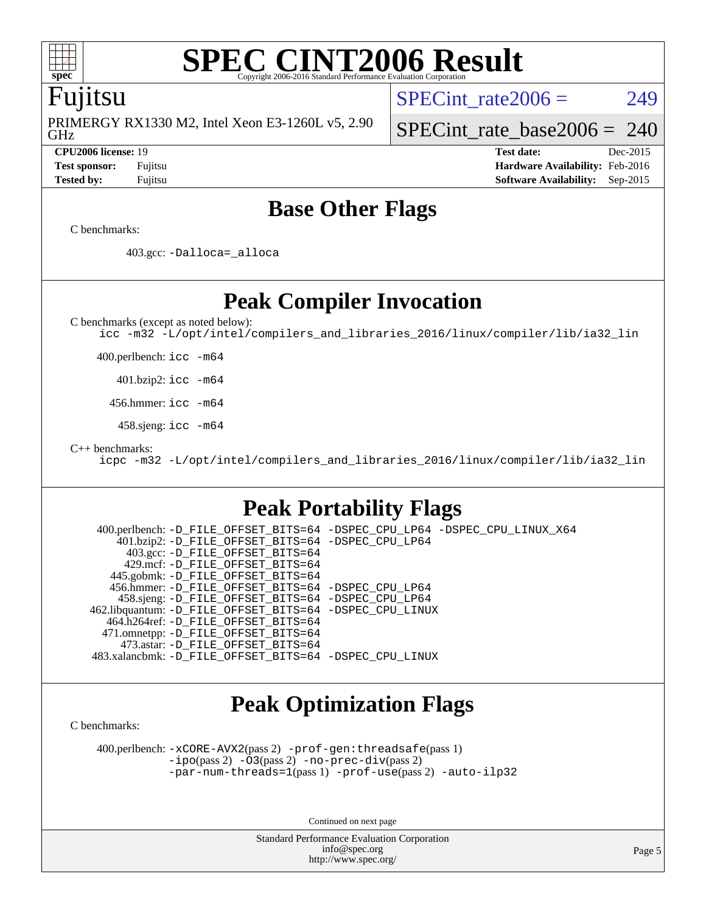

### **[SPEC CINT2006 Result](http://www.spec.org/auto/cpu2006/Docs/result-fields.html#SPECCINT2006Result)** Copyright 2006-2016 Standard Performance Evaluation

### Fujitsu

GHz PRIMERGY RX1330 M2, Intel Xeon E3-1260L v5, 2.90 SPECint rate $2006 = 249$ 

### [SPECint\\_rate\\_base2006 =](http://www.spec.org/auto/cpu2006/Docs/result-fields.html#SPECintratebase2006) 240

**[CPU2006 license:](http://www.spec.org/auto/cpu2006/Docs/result-fields.html#CPU2006license)** 19 **[Test date:](http://www.spec.org/auto/cpu2006/Docs/result-fields.html#Testdate)** Dec-2015 **[Test sponsor:](http://www.spec.org/auto/cpu2006/Docs/result-fields.html#Testsponsor)** Fujitsu **[Hardware Availability:](http://www.spec.org/auto/cpu2006/Docs/result-fields.html#HardwareAvailability)** Feb-2016 **[Tested by:](http://www.spec.org/auto/cpu2006/Docs/result-fields.html#Testedby)** Fujitsu **[Software Availability:](http://www.spec.org/auto/cpu2006/Docs/result-fields.html#SoftwareAvailability)** Sep-2015

### **[Base Other Flags](http://www.spec.org/auto/cpu2006/Docs/result-fields.html#BaseOtherFlags)**

[C benchmarks](http://www.spec.org/auto/cpu2006/Docs/result-fields.html#Cbenchmarks):

403.gcc: [-Dalloca=\\_alloca](http://www.spec.org/cpu2006/results/res2016q1/cpu2006-20160111-38675.flags.html#b403.gcc_baseEXTRA_CFLAGS_Dalloca_be3056838c12de2578596ca5467af7f3)

**[Peak Compiler Invocation](http://www.spec.org/auto/cpu2006/Docs/result-fields.html#PeakCompilerInvocation)**

[C benchmarks \(except as noted below\)](http://www.spec.org/auto/cpu2006/Docs/result-fields.html#Cbenchmarksexceptasnotedbelow):

[icc -m32 -L/opt/intel/compilers\\_and\\_libraries\\_2016/linux/compiler/lib/ia32\\_lin](http://www.spec.org/cpu2006/results/res2016q1/cpu2006-20160111-38675.flags.html#user_CCpeak_intel_icc_e10256ba5924b668798078a321b0cb3f)

400.perlbench: [icc -m64](http://www.spec.org/cpu2006/results/res2016q1/cpu2006-20160111-38675.flags.html#user_peakCCLD400_perlbench_intel_icc_64bit_bda6cc9af1fdbb0edc3795bac97ada53)

401.bzip2: [icc -m64](http://www.spec.org/cpu2006/results/res2016q1/cpu2006-20160111-38675.flags.html#user_peakCCLD401_bzip2_intel_icc_64bit_bda6cc9af1fdbb0edc3795bac97ada53)

456.hmmer: [icc -m64](http://www.spec.org/cpu2006/results/res2016q1/cpu2006-20160111-38675.flags.html#user_peakCCLD456_hmmer_intel_icc_64bit_bda6cc9af1fdbb0edc3795bac97ada53)

458.sjeng: [icc -m64](http://www.spec.org/cpu2006/results/res2016q1/cpu2006-20160111-38675.flags.html#user_peakCCLD458_sjeng_intel_icc_64bit_bda6cc9af1fdbb0edc3795bac97ada53)

[C++ benchmarks:](http://www.spec.org/auto/cpu2006/Docs/result-fields.html#CXXbenchmarks)

[icpc -m32 -L/opt/intel/compilers\\_and\\_libraries\\_2016/linux/compiler/lib/ia32\\_lin](http://www.spec.org/cpu2006/results/res2016q1/cpu2006-20160111-38675.flags.html#user_CXXpeak_intel_icpc_b4f50a394bdb4597aa5879c16bc3f5c5)

### **[Peak Portability Flags](http://www.spec.org/auto/cpu2006/Docs/result-fields.html#PeakPortabilityFlags)**

 400.perlbench: [-D\\_FILE\\_OFFSET\\_BITS=64](http://www.spec.org/cpu2006/results/res2016q1/cpu2006-20160111-38675.flags.html#user_peakPORTABILITY400_perlbench_file_offset_bits_64_438cf9856305ebd76870a2c6dc2689ab) [-DSPEC\\_CPU\\_LP64](http://www.spec.org/cpu2006/results/res2016q1/cpu2006-20160111-38675.flags.html#b400.perlbench_peakCPORTABILITY_DSPEC_CPU_LP64) [-DSPEC\\_CPU\\_LINUX\\_X64](http://www.spec.org/cpu2006/results/res2016q1/cpu2006-20160111-38675.flags.html#b400.perlbench_peakCPORTABILITY_DSPEC_CPU_LINUX_X64) 401.bzip2: [-D\\_FILE\\_OFFSET\\_BITS=64](http://www.spec.org/cpu2006/results/res2016q1/cpu2006-20160111-38675.flags.html#user_peakPORTABILITY401_bzip2_file_offset_bits_64_438cf9856305ebd76870a2c6dc2689ab) [-DSPEC\\_CPU\\_LP64](http://www.spec.org/cpu2006/results/res2016q1/cpu2006-20160111-38675.flags.html#suite_peakCPORTABILITY401_bzip2_DSPEC_CPU_LP64) 403.gcc: [-D\\_FILE\\_OFFSET\\_BITS=64](http://www.spec.org/cpu2006/results/res2016q1/cpu2006-20160111-38675.flags.html#user_peakPORTABILITY403_gcc_file_offset_bits_64_438cf9856305ebd76870a2c6dc2689ab) 429.mcf: [-D\\_FILE\\_OFFSET\\_BITS=64](http://www.spec.org/cpu2006/results/res2016q1/cpu2006-20160111-38675.flags.html#user_peakPORTABILITY429_mcf_file_offset_bits_64_438cf9856305ebd76870a2c6dc2689ab) 445.gobmk: [-D\\_FILE\\_OFFSET\\_BITS=64](http://www.spec.org/cpu2006/results/res2016q1/cpu2006-20160111-38675.flags.html#user_peakPORTABILITY445_gobmk_file_offset_bits_64_438cf9856305ebd76870a2c6dc2689ab) 456.hmmer: [-D\\_FILE\\_OFFSET\\_BITS=64](http://www.spec.org/cpu2006/results/res2016q1/cpu2006-20160111-38675.flags.html#user_peakPORTABILITY456_hmmer_file_offset_bits_64_438cf9856305ebd76870a2c6dc2689ab) [-DSPEC\\_CPU\\_LP64](http://www.spec.org/cpu2006/results/res2016q1/cpu2006-20160111-38675.flags.html#suite_peakCPORTABILITY456_hmmer_DSPEC_CPU_LP64) 458.sjeng: [-D\\_FILE\\_OFFSET\\_BITS=64](http://www.spec.org/cpu2006/results/res2016q1/cpu2006-20160111-38675.flags.html#user_peakPORTABILITY458_sjeng_file_offset_bits_64_438cf9856305ebd76870a2c6dc2689ab) [-DSPEC\\_CPU\\_LP64](http://www.spec.org/cpu2006/results/res2016q1/cpu2006-20160111-38675.flags.html#suite_peakCPORTABILITY458_sjeng_DSPEC_CPU_LP64) 462.libquantum: [-D\\_FILE\\_OFFSET\\_BITS=64](http://www.spec.org/cpu2006/results/res2016q1/cpu2006-20160111-38675.flags.html#user_peakPORTABILITY462_libquantum_file_offset_bits_64_438cf9856305ebd76870a2c6dc2689ab) [-DSPEC\\_CPU\\_LINUX](http://www.spec.org/cpu2006/results/res2016q1/cpu2006-20160111-38675.flags.html#b462.libquantum_peakCPORTABILITY_DSPEC_CPU_LINUX) 464.h264ref: [-D\\_FILE\\_OFFSET\\_BITS=64](http://www.spec.org/cpu2006/results/res2016q1/cpu2006-20160111-38675.flags.html#user_peakPORTABILITY464_h264ref_file_offset_bits_64_438cf9856305ebd76870a2c6dc2689ab) 471.omnetpp: [-D\\_FILE\\_OFFSET\\_BITS=64](http://www.spec.org/cpu2006/results/res2016q1/cpu2006-20160111-38675.flags.html#user_peakPORTABILITY471_omnetpp_file_offset_bits_64_438cf9856305ebd76870a2c6dc2689ab) 473.astar: [-D\\_FILE\\_OFFSET\\_BITS=64](http://www.spec.org/cpu2006/results/res2016q1/cpu2006-20160111-38675.flags.html#user_peakPORTABILITY473_astar_file_offset_bits_64_438cf9856305ebd76870a2c6dc2689ab) 483.xalancbmk: [-D\\_FILE\\_OFFSET\\_BITS=64](http://www.spec.org/cpu2006/results/res2016q1/cpu2006-20160111-38675.flags.html#user_peakPORTABILITY483_xalancbmk_file_offset_bits_64_438cf9856305ebd76870a2c6dc2689ab) [-DSPEC\\_CPU\\_LINUX](http://www.spec.org/cpu2006/results/res2016q1/cpu2006-20160111-38675.flags.html#b483.xalancbmk_peakCXXPORTABILITY_DSPEC_CPU_LINUX)

## **[Peak Optimization Flags](http://www.spec.org/auto/cpu2006/Docs/result-fields.html#PeakOptimizationFlags)**

[C benchmarks](http://www.spec.org/auto/cpu2006/Docs/result-fields.html#Cbenchmarks):

 400.perlbench: [-xCORE-AVX2](http://www.spec.org/cpu2006/results/res2016q1/cpu2006-20160111-38675.flags.html#user_peakPASS2_CFLAGSPASS2_LDCFLAGS400_perlbench_f-xAVX2_5f5fc0cbe2c9f62c816d3e45806c70d7)(pass 2) [-prof-gen:threadsafe](http://www.spec.org/cpu2006/results/res2016q1/cpu2006-20160111-38675.flags.html#user_peakPASS1_CFLAGSPASS1_LDCFLAGS400_perlbench_prof_gen_21a26eb79f378b550acd7bec9fe4467a)(pass 1) [-ipo](http://www.spec.org/cpu2006/results/res2016q1/cpu2006-20160111-38675.flags.html#user_peakPASS2_CFLAGSPASS2_LDCFLAGS400_perlbench_f-ipo)(pass 2) [-O3](http://www.spec.org/cpu2006/results/res2016q1/cpu2006-20160111-38675.flags.html#user_peakPASS2_CFLAGSPASS2_LDCFLAGS400_perlbench_f-O3)(pass 2) [-no-prec-div](http://www.spec.org/cpu2006/results/res2016q1/cpu2006-20160111-38675.flags.html#user_peakPASS2_CFLAGSPASS2_LDCFLAGS400_perlbench_f-no-prec-div)(pass 2) [-par-num-threads=1](http://www.spec.org/cpu2006/results/res2016q1/cpu2006-20160111-38675.flags.html#user_peakPASS1_CFLAGSPASS1_LDCFLAGS400_perlbench_par_num_threads_786a6ff141b4e9e90432e998842df6c2)(pass 1) [-prof-use](http://www.spec.org/cpu2006/results/res2016q1/cpu2006-20160111-38675.flags.html#user_peakPASS2_CFLAGSPASS2_LDCFLAGS400_perlbench_prof_use_bccf7792157ff70d64e32fe3e1250b55)(pass 2) [-auto-ilp32](http://www.spec.org/cpu2006/results/res2016q1/cpu2006-20160111-38675.flags.html#user_peakCOPTIMIZE400_perlbench_f-auto-ilp32)

Continued on next page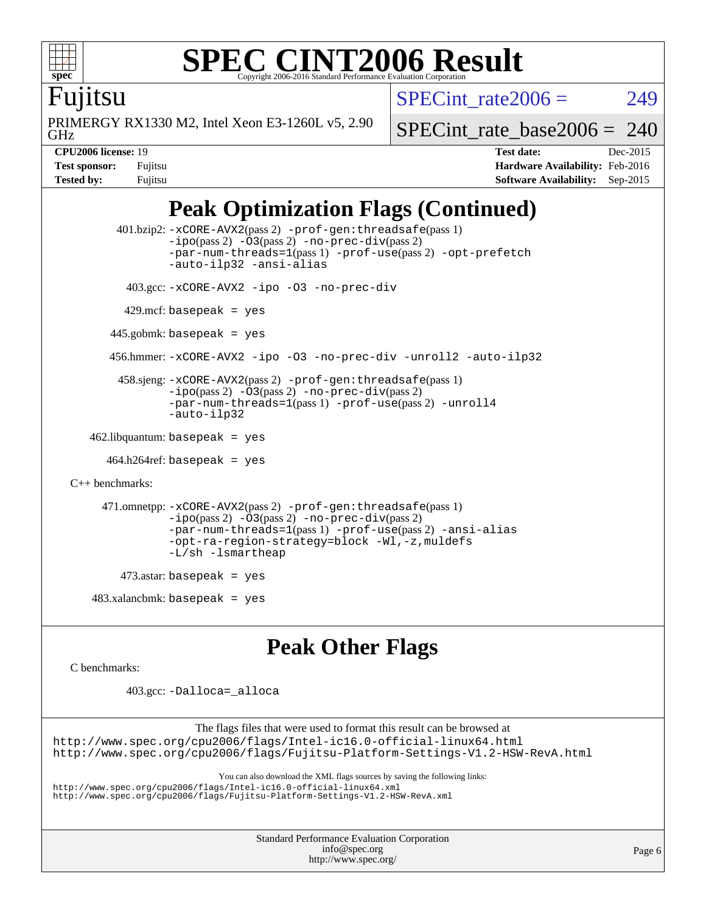

### **[SPEC CINT2006 Result](http://www.spec.org/auto/cpu2006/Docs/result-fields.html#SPECCINT2006Result)** Copyright 2006-2016 Standard Performance Evaluation C

SPECint rate $2006 = 249$ 

Fujitsu

GHz PRIMERGY RX1330 M2, Intel Xeon E3-1260L v5, 2.90 [SPECint\\_rate\\_base2006 =](http://www.spec.org/auto/cpu2006/Docs/result-fields.html#SPECintratebase2006) 240

**[CPU2006 license:](http://www.spec.org/auto/cpu2006/Docs/result-fields.html#CPU2006license)** 19 **[Test date:](http://www.spec.org/auto/cpu2006/Docs/result-fields.html#Testdate)** Dec-2015 **[Test sponsor:](http://www.spec.org/auto/cpu2006/Docs/result-fields.html#Testsponsor)** Fujitsu **[Hardware Availability:](http://www.spec.org/auto/cpu2006/Docs/result-fields.html#HardwareAvailability)** Feb-2016 **[Tested by:](http://www.spec.org/auto/cpu2006/Docs/result-fields.html#Testedby)** Fujitsu **[Software Availability:](http://www.spec.org/auto/cpu2006/Docs/result-fields.html#SoftwareAvailability)** Sep-2015

## **[Peak Optimization Flags \(Continued\)](http://www.spec.org/auto/cpu2006/Docs/result-fields.html#PeakOptimizationFlags)**

```
 401.bzip2: -xCORE-AVX2(pass 2) -prof-gen:threadsafe(pass 1)
                -no-prec-div(pass 2)-par-num-threads=1(pass 1) -prof-use(pass 2) -opt-prefetch
                -auto-ilp32 -ansi-alias
          403.gcc: -xCORE-AVX2 -ipo -O3 -no-prec-div
        429.mcf: basepeak = yes
       445.gobmk: basepeak = yes
       456.hmmer: -xCORE-AVX2 -ipo -O3 -no-prec-div -unroll2 -auto-ilp32
        458.sjeng: -xCORE-AVX2(pass 2) -prof-gen:threadsafe(pass 1)
                -ipo(pass 2) -O3(pass 2) -no-prec-div(pass 2)
                -par-num-threads=1(pass 1) -prof-use(pass 2) -unroll4
                -auto-ilp32
   462.libquantum: basepeak = yes
     464.h264ref: basepeak = yes
C++ benchmarks: 
      471.omnetpp: -xCORE-AVX2(pass 2) -prof-gen:threadsafe(pass 1)
                -i\text{po}(pass 2) -\tilde{O}3(pass 2) -no-prec-div(pass 2)-par-num-threads=1(pass 1) -prof-use(pass 2) -ansi-alias
                -opt-ra-region-strategy=block -Wl,-z,muldefs
                -L/sh -lsmartheap
        473.astar: basepeak = yes
   483.xalanchmk: basepeak = yes
```
### **[Peak Other Flags](http://www.spec.org/auto/cpu2006/Docs/result-fields.html#PeakOtherFlags)**

[C benchmarks](http://www.spec.org/auto/cpu2006/Docs/result-fields.html#Cbenchmarks):

403.gcc: [-Dalloca=\\_alloca](http://www.spec.org/cpu2006/results/res2016q1/cpu2006-20160111-38675.flags.html#b403.gcc_peakEXTRA_CFLAGS_Dalloca_be3056838c12de2578596ca5467af7f3)

The flags files that were used to format this result can be browsed at

<http://www.spec.org/cpu2006/flags/Intel-ic16.0-official-linux64.html> <http://www.spec.org/cpu2006/flags/Fujitsu-Platform-Settings-V1.2-HSW-RevA.html>

You can also download the XML flags sources by saving the following links:

<http://www.spec.org/cpu2006/flags/Intel-ic16.0-official-linux64.xml> <http://www.spec.org/cpu2006/flags/Fujitsu-Platform-Settings-V1.2-HSW-RevA.xml>